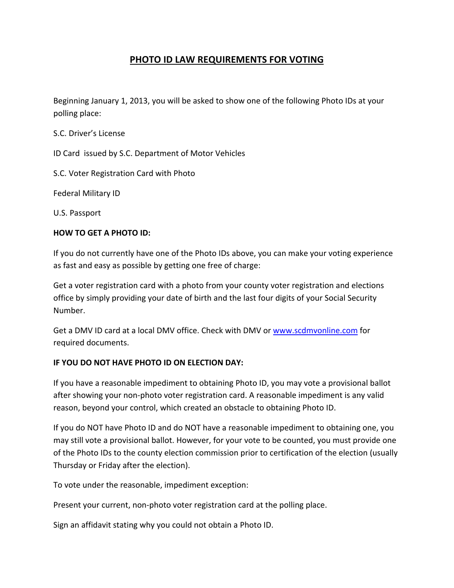## **PHOTO ID LAW REQUIREMENTS FOR VOTING**

Beginning January 1, 2013, you will be asked to show one of the following Photo IDs at your polling place:

S.C. Driver's License

ID Card issued by S.C. Department of Motor Vehicles

S.C. Voter Registration Card with Photo

Federal Military ID

U.S. Passport

## **HOW TO GET A PHOTO ID:**

If you do not currently have one of the Photo IDs above, you can make your voting experience as fast and easy as possible by getting one free of charge:

Get a voter registration card with a photo from your county voter registration and elections office by simply providing your date of birth and the last four digits of your Social Security Number.

Get a DMV ID card at a local DMV office. Check with DMV or www.scdmvonline.com for required documents.

## **IF YOU DO NOT HAVE PHOTO ID ON ELECTION DAY:**

If you have a reasonable impediment to obtaining Photo ID, you may vote a provisional ballot after showing your non-photo voter registration card. A reasonable impediment is any valid reason, beyond your control, which created an obstacle to obtaining Photo ID.

If you do NOT have Photo ID and do NOT have a reasonable impediment to obtaining one, you may still vote a provisional ballot. However, for your vote to be counted, you must provide one of the Photo IDs to the county election commission prior to certification of the election (usually Thursday or Friday after the election).

To vote under the reasonable, impediment exception:

Present your current, non-photo voter registration card at the polling place.

Sign an affidavit stating why you could not obtain a Photo ID.